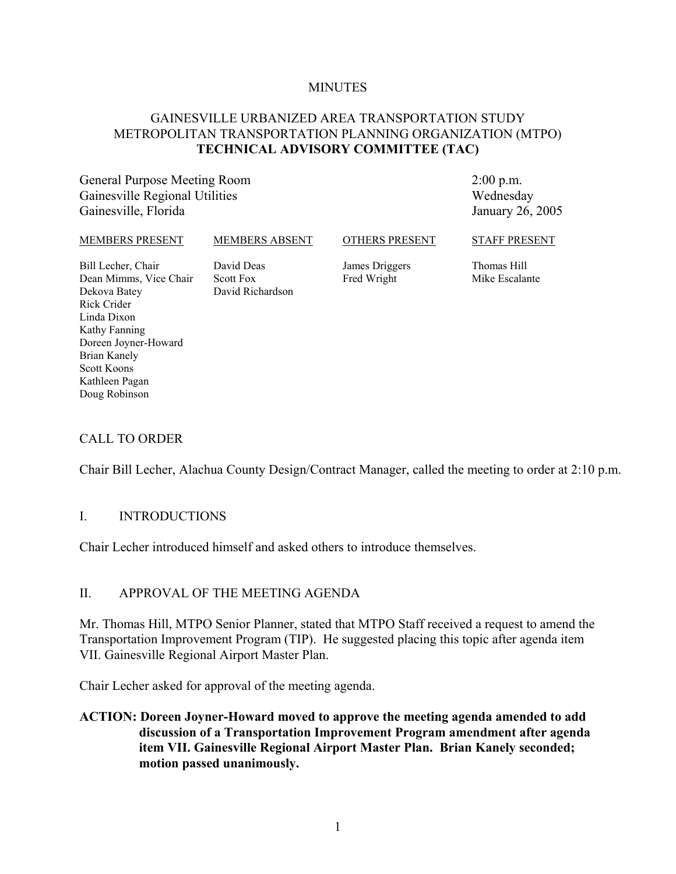#### **MINUTES**

### GAINESVILLE URBANIZED AREA TRANSPORTATION STUDY METROPOLITAN TRANSPORTATION PLANNING ORGANIZATION (MTPO) **TECHNICAL ADVISORY COMMITTEE (TAC)**

General Purpose Meeting Room Gainesville Regional Utilities Gainesville, Florida

2:00 p.m. Wednesday January 26, 2005

| MEMBERS PRESENT                                                                                             | MEMBERS ABSENT                                     | <b>OTHERS PRESENT</b>         | <b>STAFF PRESENT</b>          |
|-------------------------------------------------------------------------------------------------------------|----------------------------------------------------|-------------------------------|-------------------------------|
| Bill Lecher, Chair<br>Dean Mimms, Vice Chair<br>Dekova Batey<br>Rick Crider<br>Linda Dixon<br>Kathy Fanning | David Deas<br><b>Scott Fox</b><br>David Richardson | James Driggers<br>Fred Wright | Thomas Hill<br>Mike Escalante |

#### CALL TO ORDER

Doreen Joyner-Howard

Brian Kanely Scott Koons Kathleen Pagan Doug Robinson

Chair Bill Lecher, Alachua County Design/Contract Manager, called the meeting to order at 2:10 p.m.

#### I. INTRODUCTIONS

Chair Lecher introduced himself and asked others to introduce themselves.

#### II. APPROVAL OF THE MEETING AGENDA

Mr. Thomas Hill, MTPO Senior Planner, stated that MTPO Staff received a request to amend the Transportation Improvement Program (TIP). He suggested placing this topic after agenda item VII. Gainesville Regional Airport Master Plan.

Chair Lecher asked for approval of the meeting agenda.

**ACTION: Doreen Joyner-Howard moved to approve the meeting agenda amended to add discussion of a Transportation Improvement Program amendment after agenda item VII. Gainesville Regional Airport Master Plan. Brian Kanely seconded; motion passed unanimously.**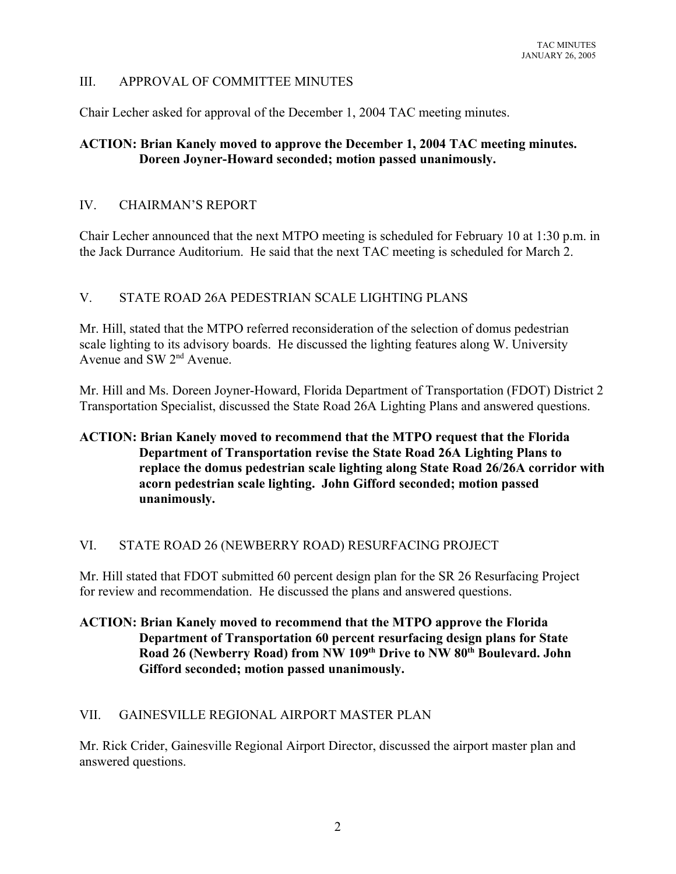## III. APPROVAL OF COMMITTEE MINUTES

Chair Lecher asked for approval of the December 1, 2004 TAC meeting minutes.

## **ACTION: Brian Kanely moved to approve the December 1, 2004 TAC meeting minutes. Doreen Joyner-Howard seconded; motion passed unanimously.**

### IV. CHAIRMAN'S REPORT

Chair Lecher announced that the next MTPO meeting is scheduled for February 10 at 1:30 p.m. in the Jack Durrance Auditorium. He said that the next TAC meeting is scheduled for March 2.

### V. STATE ROAD 26A PEDESTRIAN SCALE LIGHTING PLANS

Mr. Hill, stated that the MTPO referred reconsideration of the selection of domus pedestrian scale lighting to its advisory boards. He discussed the lighting features along W. University Avenue and SW 2nd Avenue.

Mr. Hill and Ms. Doreen Joyner-Howard, Florida Department of Transportation (FDOT) District 2 Transportation Specialist, discussed the State Road 26A Lighting Plans and answered questions.

## **ACTION: Brian Kanely moved to recommend that the MTPO request that the Florida Department of Transportation revise the State Road 26A Lighting Plans to replace the domus pedestrian scale lighting along State Road 26/26A corridor with acorn pedestrian scale lighting. John Gifford seconded; motion passed unanimously.**

#### VI. STATE ROAD 26 (NEWBERRY ROAD) RESURFACING PROJECT

Mr. Hill stated that FDOT submitted 60 percent design plan for the SR 26 Resurfacing Project for review and recommendation. He discussed the plans and answered questions.

## **ACTION: Brian Kanely moved to recommend that the MTPO approve the Florida Department of Transportation 60 percent resurfacing design plans for State** Road 26 (Newberry Road) from NW 109<sup>th</sup> Drive to NW 80<sup>th</sup> Boulevard. John **Gifford seconded; motion passed unanimously.**

## VII. GAINESVILLE REGIONAL AIRPORT MASTER PLAN

Mr. Rick Crider, Gainesville Regional Airport Director, discussed the airport master plan and answered questions.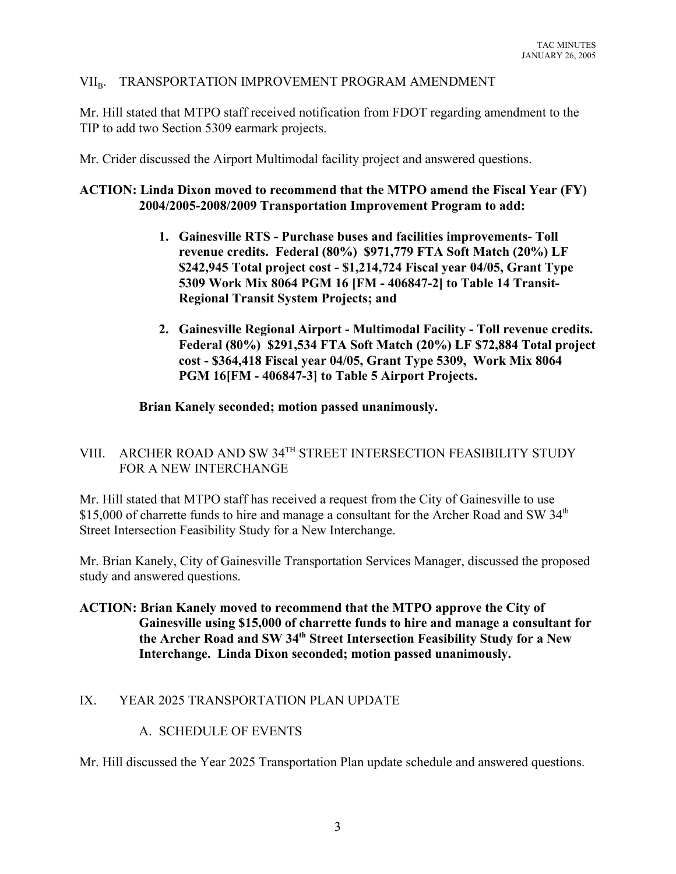## VII<sub>B</sub>. TRANSPORTATION IMPROVEMENT PROGRAM AMENDMENT

Mr. Hill stated that MTPO staff received notification from FDOT regarding amendment to the TIP to add two Section 5309 earmark projects.

Mr. Crider discussed the Airport Multimodal facility project and answered questions.

### **ACTION: Linda Dixon moved to recommend that the MTPO amend the Fiscal Year (FY) 2004/2005-2008/2009 Transportation Improvement Program to add:**

- **1. Gainesville RTS Purchase buses and facilities improvements- Toll revenue credits. Federal (80%) \$971,779 FTA Soft Match (20%) LF \$242,945 Total project cost - \$1,214,724 Fiscal year 04/05, Grant Type 5309 Work Mix 8064 PGM 16 [FM - 406847-2] to Table 14 Transit-Regional Transit System Projects; and**
- **2. Gainesville Regional Airport Multimodal Facility Toll revenue credits. Federal (80%) \$291,534 FTA Soft Match (20%) LF \$72,884 Total project cost - \$364,418 Fiscal year 04/05, Grant Type 5309, Work Mix 8064 PGM 16[FM - 406847-3] to Table 5 Airport Projects.**

#### **Brian Kanely seconded; motion passed unanimously.**

# VIII. ARCHER ROAD AND SW 34TH STREET INTERSECTION FEASIBILITY STUDY FOR A NEW INTERCHANGE

Mr. Hill stated that MTPO staff has received a request from the City of Gainesville to use \$15,000 of charrette funds to hire and manage a consultant for the Archer Road and SW  $34<sup>th</sup>$ Street Intersection Feasibility Study for a New Interchange.

Mr. Brian Kanely, City of Gainesville Transportation Services Manager, discussed the proposed study and answered questions.

**ACTION: Brian Kanely moved to recommend that the MTPO approve the City of Gainesville using \$15,000 of charrette funds to hire and manage a consultant for the Archer Road and SW 34th Street Intersection Feasibility Study for a New Interchange. Linda Dixon seconded; motion passed unanimously.**

#### IX. YEAR 2025 TRANSPORTATION PLAN UPDATE

#### A. SCHEDULE OF EVENTS

Mr. Hill discussed the Year 2025 Transportation Plan update schedule and answered questions.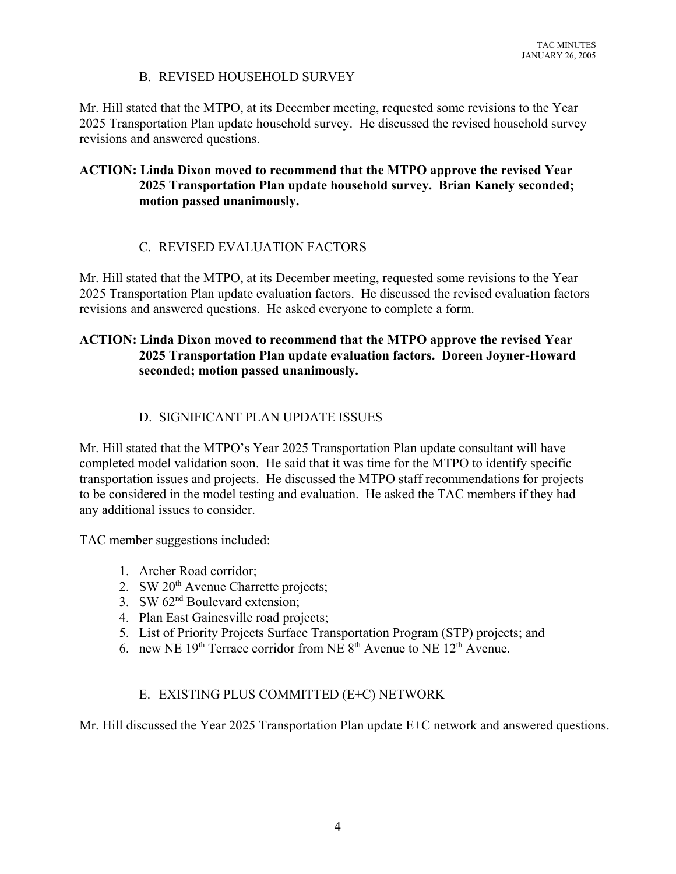# B. REVISED HOUSEHOLD SURVEY

Mr. Hill stated that the MTPO, at its December meeting, requested some revisions to the Year 2025 Transportation Plan update household survey. He discussed the revised household survey revisions and answered questions.

## **ACTION: Linda Dixon moved to recommend that the MTPO approve the revised Year 2025 Transportation Plan update household survey. Brian Kanely seconded; motion passed unanimously.**

# C. REVISED EVALUATION FACTORS

Mr. Hill stated that the MTPO, at its December meeting, requested some revisions to the Year 2025 Transportation Plan update evaluation factors. He discussed the revised evaluation factors revisions and answered questions. He asked everyone to complete a form.

## **ACTION: Linda Dixon moved to recommend that the MTPO approve the revised Year 2025 Transportation Plan update evaluation factors. Doreen Joyner-Howard seconded; motion passed unanimously.**

# D. SIGNIFICANT PLAN UPDATE ISSUES

Mr. Hill stated that the MTPO's Year 2025 Transportation Plan update consultant will have completed model validation soon. He said that it was time for the MTPO to identify specific transportation issues and projects. He discussed the MTPO staff recommendations for projects to be considered in the model testing and evaluation. He asked the TAC members if they had any additional issues to consider.

TAC member suggestions included:

- 1. Archer Road corridor;
- 2. SW  $20<sup>th</sup>$  Avenue Charrette projects;
- 3. SW  $62<sup>nd</sup>$  Boulevard extension:
- 4. Plan East Gainesville road projects;
- 5. List of Priority Projects Surface Transportation Program (STP) projects; and
- 6. new NE 19<sup>th</sup> Terrace corridor from NE 8<sup>th</sup> Avenue to NE 12<sup>th</sup> Avenue.

# E. EXISTING PLUS COMMITTED (E+C) NETWORK

Mr. Hill discussed the Year 2025 Transportation Plan update E+C network and answered questions.